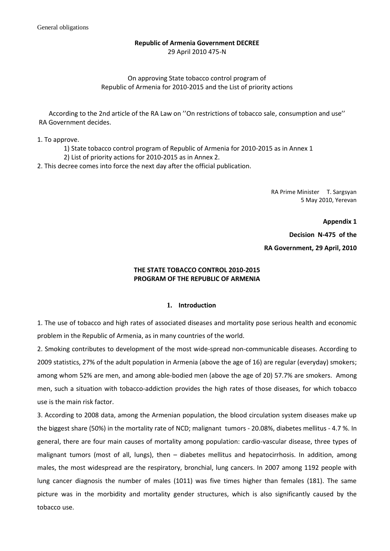# **Republic of Armenia Government DECREE** 29 April 2010 475-N

# On approving State tobacco control program of Republic of Armenia for 2010-2015 and the List of priority actions

According to the 2nd article of the RA Law on ''On restrictions of tobacco sale, consumption and use'' RA Government decides.

1. To approve.

1) State tobacco control program of Republic of Armenia for 2010-2015 as in Annex 1

2) List of priority actions for 2010-2015 as in Annex 2.

2. This decree comes into force the next day after the official publication.

RA Prime Minister T. Sargsyan 5 May 2010, Yerevan

**Appendix 1 Decision N-475 of the RA Government, 29 April, 2010**

# **THE STATE TOBACCO CONTROL 2010-2015 PROGRAM OF THE REPUBLIC OF ARMENIA**

## **1. Introduction**

1. The use of tobacco and high rates of associated diseases and mortality pose serious health and economic problem in the Republic of Armenia, as in many countries of the world.

2. Smoking contributes to development of the most wide-spread non-communicable diseases. According to 2009 statistics, 27% of the adult population in Armenia (above the age of 16) are regular (everyday) smokers; among whom 52% are men, and among able-bodied men (above the age of 20) 57.7% are smokers. Among men, such a situation with tobacco-addiction provides the high rates of those diseases, for which tobacco use is the main risk factor.

3. According to 2008 data, among the Armenian population, the blood circulation system diseases make up the biggest share (50%) in the mortality rate of NCD; malignant tumors - 20.08%, diabetes mellitus - 4.7 %. In general, there are four main causes of mortality among population: cardio-vascular disease, three types of malignant tumors (most of all, lungs), then – diabetes mellitus and hepatocirrhosis. In addition, among males, the most widespread are the respiratory, bronchial, lung cancers. In 2007 among 1192 people with lung cancer diagnosis the number of males (1011) was five times higher than females (181). The same picture was in the morbidity and mortality gender structures, which is also significantly caused by the tobacco use.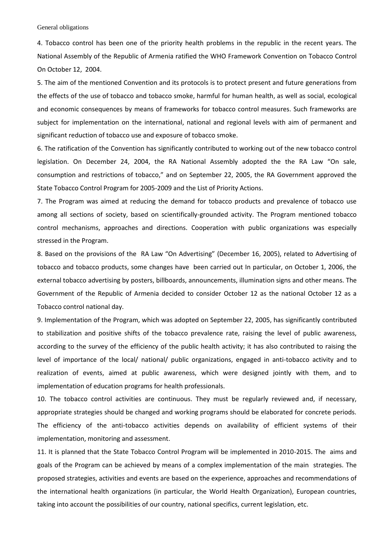4. Tobacco control has been one of the priority health problems in the republic in the recent years. The National Assembly of the Republic of Armenia ratified the WHO Framework Convention on Tobacco Control On October 12, 2004.

5. The aim of the mentioned Convention and its protocols is to protect present and future generations from the effects of the use of tobacco and tobacco smoke, harmful for human health, as well as social, ecological and economic consequences by means of frameworks for tobacco control measures. Such frameworks are subject for implementation on the international, national and regional levels with aim of permanent and significant reduction of tobacco use and exposure of tobacco smoke.

6. The ratification of the Convention has significantly contributed to working out of the new tobacco control legislation. On December 24, 2004, the RA National Assembly adopted the the RA Law "On sale, consumption and restrictions of tobacco," and on September 22, 2005, the RA Government approved the State Tobacco Control Program for 2005-2009 and the List of Priority Actions.

7. The Program was aimed at reducing the demand for tobacco products and prevalence of tobacco use among all sections of society, based on scientifically-grounded activity. The Program mentioned tobacco control mechanisms, approaches and directions. Cooperation with public organizations was especially stressed in the Program.

8. Based on the provisions of the RA Law "On Advertising" (December 16, 2005), related to Advertising of tobacco and tobacco products, some changes have been carried out In particular, on October 1, 2006, the external tobacco advertising by posters, billboards, announcements, illumination signs and other means. The Government of the Republic of Armenia decided to consider October 12 as the national October 12 as a Tobacco control national day.

9. Implementation of the Program, which was adopted on September 22, 2005, has significantly contributed to stabilization and positive shifts of the tobacco prevalence rate, raising the level of public awareness, according to the survey of the efficiency of the public health activity; it has also contributed to raising the level of importance of the local/ national/ public organizations, engaged in anti-tobacco activity and to realization of events, aimed at public awareness, which were designed jointly with them, and to implementation of education programs for health professionals.

10. The tobacco control activities are continuous. They must be regularly reviewed and, if necessary, appropriate strategies should be changed and working programs should be elaborated for concrete periods. The efficiency of the anti-tobacco activities depends on availability of efficient systems of their implementation, monitoring and assessment.

11. It is planned that the State Tobacco Control Program will be implemented in 2010-2015. The aims and goals of the Program can be achieved by means of a complex implementation of the main strategies. The proposed strategies, activities and events are based on the experience, approaches and recommendations of the international health organizations (in particular, the World Health Organization), European countries, taking into account the possibilities of our country, national specifics, current legislation, etc.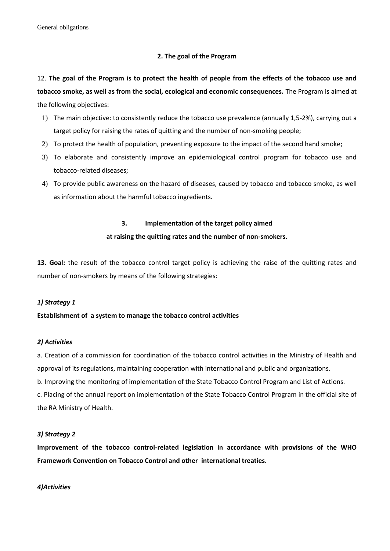### **2. The goal of the Program**

12. **The goal of the Program is to protect the health of people from the effects of the tobacco use and tobacco smoke, as well as from the social, ecological and economic consequences.** The Program is aimed at the following objectives:

- 1) The main objective: to consistently reduce the tobacco use prevalence (annually 1,5-2%), carrying out a target policy for raising the rates of quitting and the number of non-smoking people;
- 2) To protect the health of population, preventing exposure to the impact of the second hand smoke;
- 3) To elaborate and consistently improve an epidemiological control program for tobacco use and tobacco-related diseases;
- 4) To provide public awareness on the hazard of diseases, caused by tobacco and tobacco smoke, as well as information about the harmful tobacco ingredients.

### **3. Implementation of the target policy aimed**

### **at raising the quitting rates and the number of non-smokers.**

**13. Goal:** the result of the tobacco control target policy is achieving the raise of the quitting rates and number of non-smokers by means of the following strategies:

## *1) Strategy 1*

#### **Establishment of a system to manage the tobacco control activities**

#### *2) Activities*

a. Creation of a commission for coordination of the tobacco control activities in the Ministry of Health and approval of its regulations, maintaining cooperation with international and public and organizations.

b. Improving the monitoring of implementation of the State Tobacco Control Program and List of Actions.

c. Placing of the annual report on implementation of the State Tobacco Control Program in the official site of the RA Ministry of Health.

### *3) Strategy 2*

**Improvement of the tobacco control-related legislation in accordance with provisions of the WHO Framework Convention on Tobacco Control and other international treaties.**

#### *4)Activities*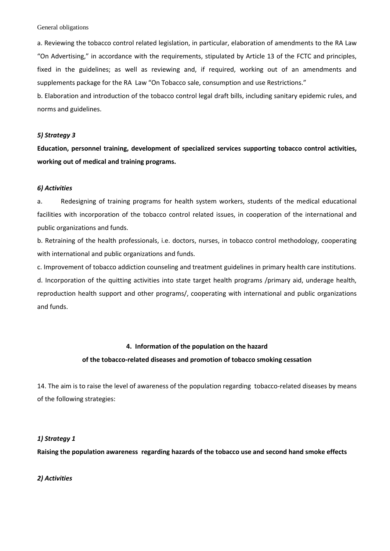General obligations

a. Reviewing the tobacco control related legislation, in particular, elaboration of amendments to the RA Law "On Advertising," in accordance with the requirements, stipulated by Article 13 of the FCTC and principles, fixed in the guidelines; as well as reviewing and, if required, working out of an amendments and supplements package for the RA Law "On Tobacco sale, consumption and use Restrictions."

b. Elaboration and introduction of the tobacco control legal draft bills, including sanitary epidemic rules, and norms and guidelines.

#### *5) Strategy 3*

**Education, personnel training, development of specialized services supporting tobacco control activities, working out of medical and training programs.**

### *6) Activities*

a. Redesigning of training programs for health system workers, students of the medical educational facilities with incorporation of the tobacco control related issues, in cooperation of the international and public organizations and funds.

b. Retraining of the health professionals, i.e. doctors, nurses, in tobacco control methodology, cooperating with international and public organizations and funds.

c. Improvement of tobacco addiction counseling and treatment guidelines in primary health care institutions. d. Incorporation of the quitting activities into state target health programs /primary aid, underage health, reproduction health support and other programs/, cooperating with international and public organizations and funds.

## **4. Information of the population on the hazard**

#### **of the tobacco-related diseases and promotion of tobacco smoking cessation**

14. The aim is to raise the level of awareness of the population regarding tobacco-related diseases by means of the following strategies:

## *1) Strategy 1*

**Raising the population awareness regarding hazards of the tobacco use and second hand smoke effects**

*2) Activities*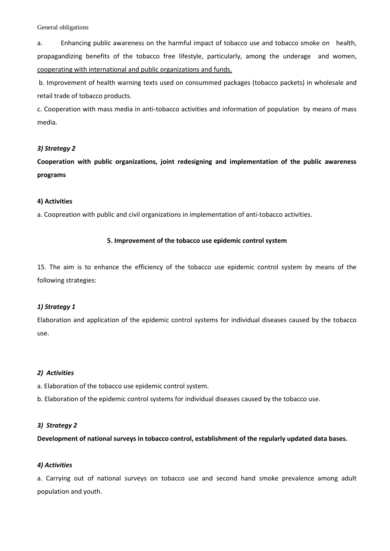#### General obligations

a. Enhancing public awareness on the harmful impact of tobacco use and tobacco smoke on health, propagandizing benefits of the tobacco free lifestyle, particularly, among the underage and women, cooperating with international and public organizations and funds.

b. Improvement of health warning texts used on consummed packages (tobacco packets) in wholesale and retail trade of tobacco products.

c. Cooperation with mass media in anti-tobacco activities and information of population by means of mass media.

### *3) Strategy 2*

**Cooperation with public organizations, joint redesigning and implementation of the public awareness programs** 

### **4) Activities**

a. Coopreation with public and civil organizations in implementation of anti-tobacco activities.

## **5. Improvement of the tobacco use epidemic control system**

15. The aim is to enhance the efficiency of the tobacco use epidemic control system by means of the following strategies:

## *1) Strategy 1*

Elaboration and application of the epidemic control systems for individual diseases caused by the tobacco use.

## *2) Activities*

- a. Elaboration of the tobacco use epidemic control system.
- b. Elaboration of the epidemic control systems for individual diseases caused by the tobacco use.

#### *3) Strategy 2*

**Development of national surveys in tobacco control, establishment of the regularly updated data bases.**

#### *4) Activities*

a. Carrying out of national surveys on tobacco use and second hand smoke prevalence among adult population and youth.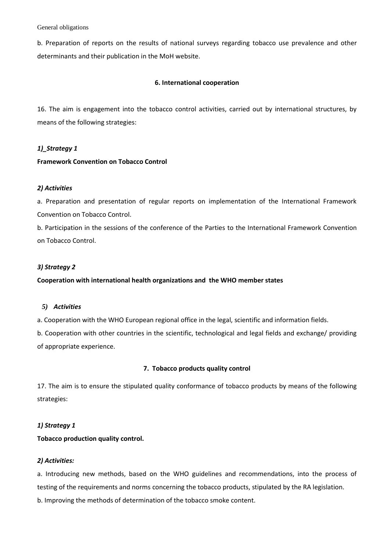#### General obligations

b. Preparation of reports on the results of national surveys regarding tobacco use prevalence and other determinants and their publication in the MoH website.

### **6. International cooperation**

16. The aim is engagement into the tobacco control activities, carried out by international structures, by means of the following strategies:

## *1)\_Strategy 1*

## **Framework Convention on Tobacco Control**

## *2) Activities*

a. Preparation and presentation of regular reports on implementation of the International Framework Convention on Tobacco Control.

b. Participation in the sessions of the conference of the Parties to the International Framework Convention on Tobacco Control.

### *3) Strategy 2*

## **Cooperation with international health organizations and the WHO member states**

#### *5) Activities*

a. Cooperation with the WHO European regional office in the legal, scientific and information fields.

b. Cooperation with other countries in the scientific, technological and legal fields and exchange/ providing of appropriate experience.

#### **7. Tobacco products quality control**

17. The aim is to ensure the stipulated quality conformance of tobacco products by means of the following strategies:

## *1) Strategy 1*

## **Tobacco production quality control.**

## *2) Activities:*

a. Introducing new methods, based on the WHO guidelines and recommendations, into the process of testing of the requirements and norms concerning the tobacco products, stipulated by the RA legislation.

b. Improving the methods of determination of the tobacco smoke content.